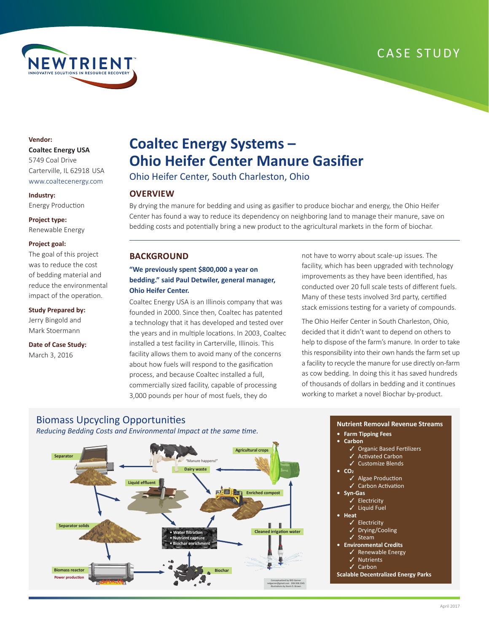## CASE STUDY



## **Vendor:**

#### **Coaltec Energy USA**

5749 Coal Drive Carterville, IL 62918 USA www.coaltecenergy.com

#### **Industry:**

Energy Production

#### **Project type:**

Renewable Energy

#### **Project goal:**

The goal of this project was to reduce the cost of bedding material and reduce the environmental impact of the operation.

#### **Study Prepared by:**

Jerry Bingold and Mark Stoermann

#### **Date of Case Study:** March 3, 2016

**Power production**

**Biomass reactor**

# **Coaltec Energy Systems – Ohio Heifer Center Manure Gasifier**

Ohio Heifer Center, South Charleston, Ohio

## **OVERVIEW**

By drying the manure for bedding and using as gasifier to produce biochar and energy, the Ohio Heifer Center has found a way to reduce its dependency on neighboring land to manage their manure, save on bedding costs and potentially bring a new product to the agricultural markets in the form of biochar.

> Conceptualized by RED Garner redgarner@gmail.com 208.308.2345 Illustrations by Kevin D. Brown

## **BACKGROUND**

## **"We previously spent \$800,000 a year on bedding." said Paul Detwiler, general manager, Ohio Heifer Center.**

Coaltec Energy USA is an Illinois company that was founded in 2000. Since then, Coaltec has patented a technology that it has developed and tested over the years and in multiple locations. In 2003, Coaltec installed a test facility in Carterville, Illinois. This facility allows them to avoid many of the concerns about how fuels will respond to the gasification process, and because Coaltec installed a full, commercially sized facility, capable of processing 3,000 pounds per hour of most fuels, they do

not have to worry about scale-up issues. The facility, which has been upgraded with technology improvements as they have been identified, has conducted over 20 full scale tests of different fuels. Many of these tests involved 3rd party, certified stack emissions testing for a variety of compounds.

The Ohio Heifer Center in South Charleston, Ohio, decided that it didn't want to depend on others to help to dispose of the farm's manure. In order to take this responsibility into their own hands the farm set up a facility to recycle the manure for use directly on-farm as cow bedding. In doing this it has saved hundreds of thousands of dollars in bedding and it continues working to market a novel Biochar by-product.

## Biomass Upcycling Opportunities *Reducing Bedding Costs and Environmental Impact at the same time.* **Agricultural crops Separator** "Manure happens!" **Dairy waste Liquid effluent Enriched compost Separator solid** Ш Ш **Cleaned irrigation water• Water filtration**

**• Nutrient capture • Biochar enrichment**

**Biochar**

#### **Nutrient Removal Revenue Streams**

**• Farm Tipping Fees**

#### **• Carbon**

- ✓ Organic Based Fertilizers
- **Activated Carbon**
- Customize Blends
- **• CO2**
	- Algae Production
	- ✓ Carbon Activation
- **• Syn-Gas**
	- ✓ Electricity ✓ Liquid Fuel
- **• Heat**
	- ✓ Electricity
	- ✓ Drying/Cooling
	- ✓ Steam
- **• Environmental Credits**
	- Renewable Energy
	- **Nutrients**
	- ✓ Carbon
- **Scalable Decentralized Energy Parks**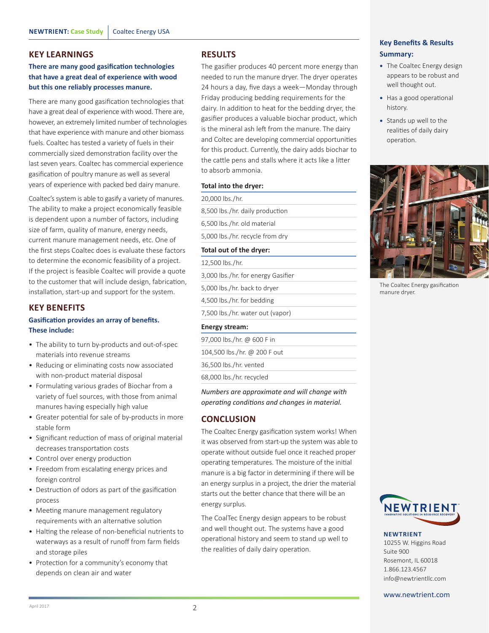### **KEY LEARNINGS**

## **There are many good gasification technologies that have a great deal of experience with wood but this one reliably processes manure.**

There are many good gasification technologies that have a great deal of experience with wood. There are, however, an extremely limited number of technologies that have experience with manure and other biomass fuels. Coaltec has tested a variety of fuels in their commercially sized demonstration facility over the last seven years. Coaltec has commercial experience gasification of poultry manure as well as several years of experience with packed bed dairy manure.

Coaltec's system is able to gasify a variety of manures. The ability to make a project economically feasible is dependent upon a number of factors, including size of farm, quality of manure, energy needs, current manure management needs, etc. One of the first steps Coaltec does is evaluate these factors to determine the economic feasibility of a project. If the project is feasible Coaltec will provide a quote to the customer that will include design, fabrication, installation, start-up and support for the system.

## **KEY BENEFITS**

## **Gasification provides an array of benefits. These include:**

- The ability to turn by-products and out-of-spec materials into revenue streams
- Reducing or eliminating costs now associated with non-product material disposal
- Formulating various grades of Biochar from a variety of fuel sources, with those from animal manures having especially high value
- Greater potential for sale of by-products in more stable form
- Significant reduction of mass of original material decreases transportation costs
- Control over energy production
- Freedom from escalating energy prices and foreign control
- Destruction of odors as part of the gasification process
- Meeting manure management regulatory requirements with an alternative solution
- Halting the release of non-beneficial nutrients to waterways as a result of runoff from farm fields and storage piles
- Protection for a community's economy that depends on clean air and water

### **RESULTS**

The gasifier produces 40 percent more energy than needed to run the manure dryer. The dryer operates 24 hours a day, five days a week—Monday through Friday producing bedding requirements for the dairy. In addition to heat for the bedding dryer, the gasifier produces a valuable biochar product, which is the mineral ash left from the manure. The dairy and Coltec are developing commercial opportunities for this product. Currently, the dairy adds biochar to the cattle pens and stalls where it acts like a litter to absorb ammonia.

#### **Total into the dryer:**

20,000 lbs./hr.

8,500 lbs./hr. daily production

6,500 lbs./hr. old material

5,000 lbs./hr. recycle from dry

#### **Total out of the dryer:**

12,500 lbs./hr. 3,000 lbs./hr. for energy Gasifier 5,000 lbs./hr. back to dryer 4,500 lbs./hr. for bedding 7,500 lbs./hr. water out (vapor)

#### **Energy stream:**

| 97.000 lbs./hr. @ 600 F in   |
|------------------------------|
| 104,500 lbs./hr. @ 200 F out |
| 36,500 lbs./hr. vented       |
| 68,000 lbs./hr. recycled     |

*Numbers are approximate and will change with operating conditions and changes in material.*

## **CONCLUSION**

The Coaltec Energy gasification system works! When it was observed from start-up the system was able to operate without outside fuel once it reached proper operating temperatures. The moisture of the initial manure is a big factor in determining if there will be an energy surplus in a project, the drier the material starts out the better chance that there will be an energy surplus.

The CoalTec Energy design appears to be robust and well thought out. The systems have a good operational history and seem to stand up well to the realities of daily dairy operation.

## **Key Benefits & Results Summary:**

- **•** The Coaltec Energy design appears to be robust and well thought out.
- **•** Has a good operational history.
- **•** Stands up well to the realities of daily dairy operation.



The Coaltec Energy gasification manure dryer.



#### **NEWTRIENT**

10255 W. Higgins Road Suite 900 Rosemont, IL 60018 1.866.123.4567 info@newtrientllc.com

www.newtrient.com